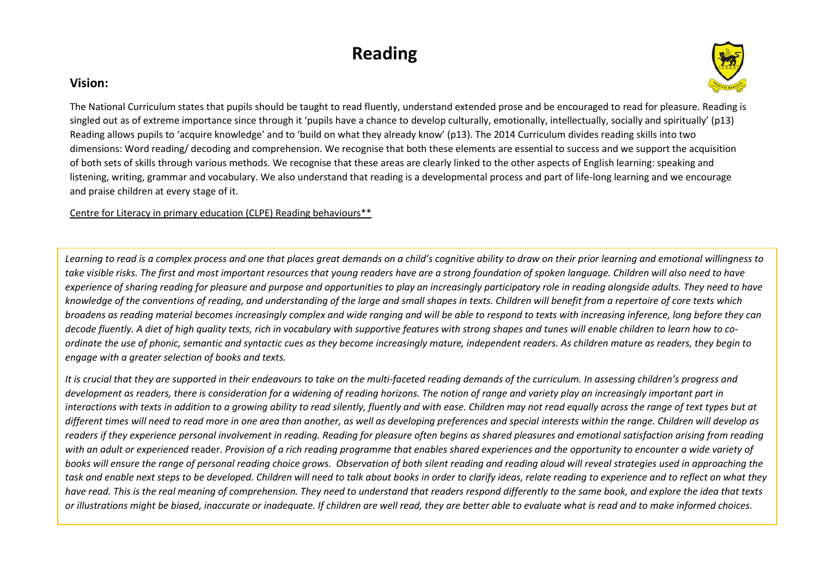## **Reading**

## **Vision:**



The National Curriculum states that pupils should be taught to read fluently, understand extended prose and be encouraged to read for pleasure. Reading is singled out as of extreme importance since through it 'pupils have a chance to develop culturally, emotionally, intellectually, socially and spiritually' (p13) Reading allows pupils to 'acquire knowledge' and to 'build on what they already know' (p13). The 2014 Curriculum divides reading skills into two dimensions: Word reading/ decoding and comprehension. We recognise that both these elements are essential to success and we support the acquisition of both sets of skills through various methods. We recognise that these areas are clearly linked to the other aspects of English learning: speaking and listening, writing, grammar and vocabulary. We also understand that reading is a developmental process and part of life-long learning and we encourage and praise children at every stage of it.

Centre for Literacy in primary education (CLPE) Reading behaviours\*\*

Learning to read is a complex process and one that places great demands on a child's cognitive ability to draw on their prior *learning and emotional willingness* to take visible risks. The first and most important resources that young readers have are a strong foundation of spoken language. Children will also need to have *experience of sharing reading for pleasure and purpose and opportunities to play an increasingly participatory role in reading alongside adults. They need to have knowledge of the conventions of reading, and understanding of the large and small shapes in texts. Children will benefit from a repertoire of core texts which broadens as reading material becomes increasingly complex and wide ranging and will be able to respond to texts with increasing inference, long before they can decode fluently. A diet of high quality texts, rich in vocabulary with supportive features with strong shapes and tunes will enable children to learn how to coordinate the use of phonic, semantic and syntactic cues as they become increasingly mature, independent readers. As children mature as readers, they begin to engage with a greater selection of books and texts.* 

*It is crucial that they are supported in their endeavours to take on the multi-faceted reading demands of the curriculum. In assessing children's progress and development as readers, there is consideration for a widening of reading horizons. The notion of range and variety play an increasingly important part in interactions with texts in addition to a growing ability to read silently, fluently and with ease. Children may not read equally across the range of text types but at different times will need to read more in one area than another, as well as developing preferences and special interests within the range. Children will develop as readers if they experience personal involvement in reading. Reading for pleasure often begins as shared pleasures and emotional satisfaction arising from reading with an adult or experienced* reader. *Provision of a rich reading programme that enables shared experiences and the opportunity to encounter a wide variety of books will ensure the range of personal reading choice grows. Observation of both silent reading and reading aloud will reveal strategies used in approaching the task and enable next steps to be developed. Children will need to talk about books in order to clarify ideas, relate reading to experience and to reflect on what they have read. This is the real meaning of comprehension. They need to understand that readers respond differently to the same book, and explore the idea that texts or illustrations might be biased, inaccurate or inadequate. If children are well read, they are better able to evaluate what is read and to make informed choices.*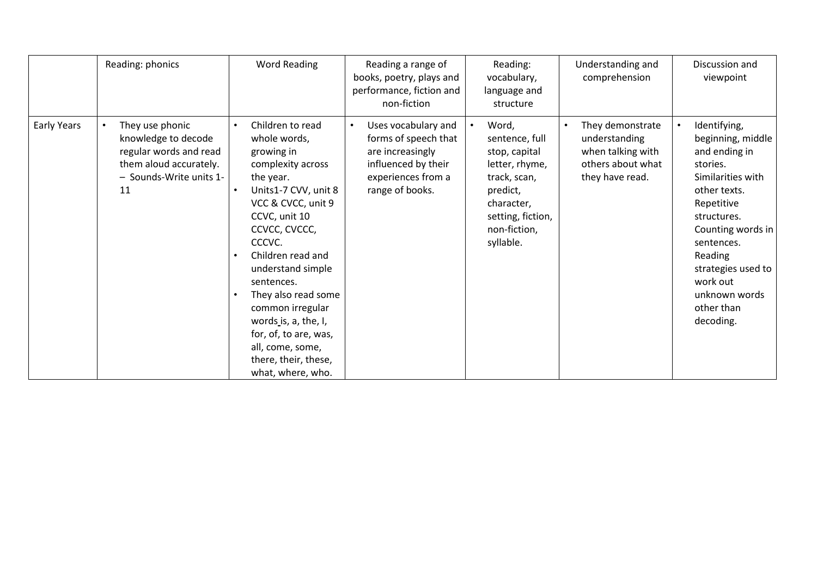|                    | Reading: phonics                                                                                                            | <b>Word Reading</b>                                                                                                                                                                                                                                                                                                                                                                             | Reading a range of<br>books, poetry, plays and<br>performance, fiction and<br>non-fiction                                                    | Reading:<br>vocabulary,<br>language and<br>structure                                                                                                   | Understanding and<br>comprehension                                                             | Discussion and<br>viewpoint                                                                                                                                                                                                                                  |
|--------------------|-----------------------------------------------------------------------------------------------------------------------------|-------------------------------------------------------------------------------------------------------------------------------------------------------------------------------------------------------------------------------------------------------------------------------------------------------------------------------------------------------------------------------------------------|----------------------------------------------------------------------------------------------------------------------------------------------|--------------------------------------------------------------------------------------------------------------------------------------------------------|------------------------------------------------------------------------------------------------|--------------------------------------------------------------------------------------------------------------------------------------------------------------------------------------------------------------------------------------------------------------|
| <b>Early Years</b> | They use phonic<br>knowledge to decode<br>regular words and read<br>them aloud accurately.<br>- Sounds-Write units 1-<br>11 | Children to read<br>whole words,<br>growing in<br>complexity across<br>the year.<br>Units1-7 CVV, unit 8<br>VCC & CVCC, unit 9<br>CCVC, unit 10<br>CCVCC, CVCCC,<br>CCCVC.<br>Children read and<br>understand simple<br>sentences.<br>They also read some<br>common irregular<br>words is, a, the, I,<br>for, of, to are, was,<br>all, come, some,<br>there, their, these,<br>what, where, who. | Uses vocabulary and<br>$\bullet$<br>forms of speech that<br>are increasingly<br>influenced by their<br>experiences from a<br>range of books. | Word,<br>sentence, full<br>stop, capital<br>letter, rhyme,<br>track, scan,<br>predict,<br>character,<br>setting, fiction,<br>non-fiction,<br>syllable. | They demonstrate<br>understanding<br>when talking with<br>others about what<br>they have read. | Identifying,<br>beginning, middle<br>and ending in<br>stories.<br>Similarities with<br>other texts.<br>Repetitive<br>structures.<br>Counting words in<br>sentences.<br>Reading<br>strategies used to<br>work out<br>unknown words<br>other than<br>decoding. |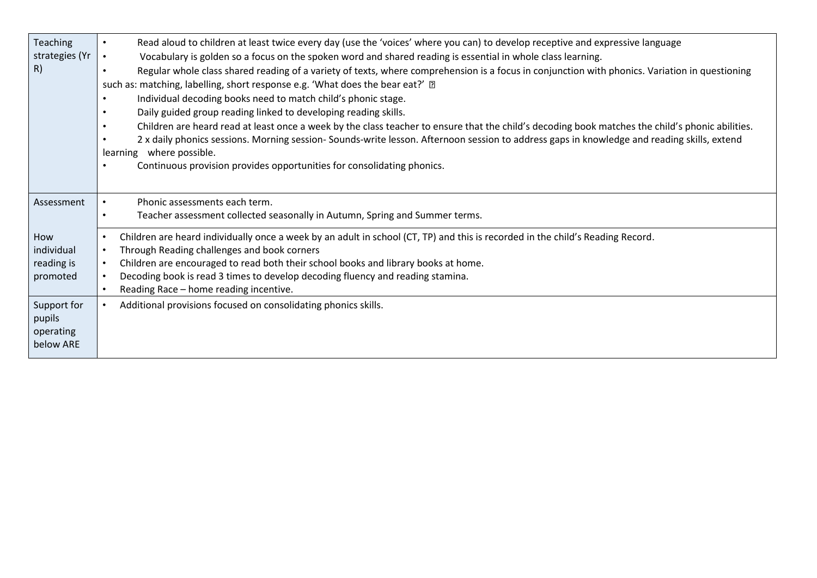| Teaching<br>strategies (Yr<br> R)               | Read aloud to children at least twice every day (use the 'voices' where you can) to develop receptive and expressive language<br>$\bullet$<br>Vocabulary is golden so a focus on the spoken word and shared reading is essential in whole class learning.<br>$\bullet$<br>Regular whole class shared reading of a variety of texts, where comprehension is a focus in conjunction with phonics. Variation in questioning<br>$\bullet$<br>such as: matching, labelling, short response e.g. 'What does the bear eat?' ?<br>Individual decoding books need to match child's phonic stage.<br>$\bullet$<br>Daily guided group reading linked to developing reading skills.<br>$\bullet$<br>Children are heard read at least once a week by the class teacher to ensure that the child's decoding book matches the child's phonic abilities.<br>$\bullet$<br>2 x daily phonics sessions. Morning session- Sounds-write lesson. Afternoon session to address gaps in knowledge and reading skills, extend<br>$\bullet$<br>learning where possible.<br>Continuous provision provides opportunities for consolidating phonics.<br>$\bullet$ |
|-------------------------------------------------|--------------------------------------------------------------------------------------------------------------------------------------------------------------------------------------------------------------------------------------------------------------------------------------------------------------------------------------------------------------------------------------------------------------------------------------------------------------------------------------------------------------------------------------------------------------------------------------------------------------------------------------------------------------------------------------------------------------------------------------------------------------------------------------------------------------------------------------------------------------------------------------------------------------------------------------------------------------------------------------------------------------------------------------------------------------------------------------------------------------------------------------|
| Assessment                                      | Phonic assessments each term.<br>Teacher assessment collected seasonally in Autumn, Spring and Summer terms.<br>$\bullet$                                                                                                                                                                                                                                                                                                                                                                                                                                                                                                                                                                                                                                                                                                                                                                                                                                                                                                                                                                                                            |
| How<br>individual<br>reading is<br>promoted     | Children are heard individually once a week by an adult in school (CT, TP) and this is recorded in the child's Reading Record.<br>$\bullet$<br>Through Reading challenges and book corners<br>$\bullet$<br>Children are encouraged to read both their school books and library books at home.<br>Decoding book is read 3 times to develop decoding fluency and reading stamina.<br>Reading Race - home reading incentive.<br>$\bullet$                                                                                                                                                                                                                                                                                                                                                                                                                                                                                                                                                                                                                                                                                               |
| Support for<br>pupils<br>operating<br>below ARE | Additional provisions focused on consolidating phonics skills.                                                                                                                                                                                                                                                                                                                                                                                                                                                                                                                                                                                                                                                                                                                                                                                                                                                                                                                                                                                                                                                                       |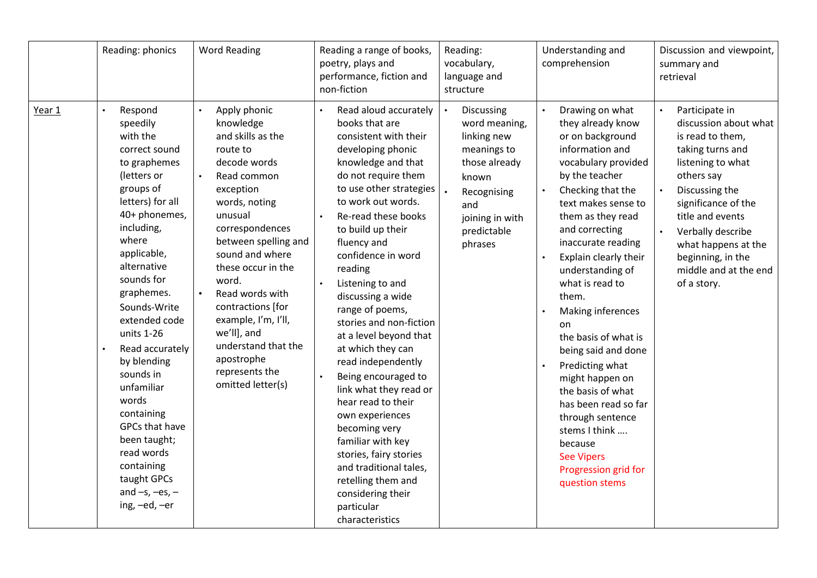|        | Reading: phonics                                                                                                                                                                                                                                                                                                                                                                                                                                                                           | <b>Word Reading</b>                                                                                                                                                                                                                                                                                                                                                                                                              | Reading a range of books,<br>poetry, plays and<br>performance, fiction and<br>non-fiction                                                                                                                                                                                                                                                                                                                                                                                                                                                                                                                                                                                                                   | Reading:<br>vocabulary,<br>language and<br>structure                                                                                                   | Understanding and<br>comprehension                                                                                                                                                                                                                                                                                                                                                                                                                                                                                                                                                                                        | Discussion and viewpoint,<br>summary and<br>retrieval                                                                                                                                                                                                                                    |
|--------|--------------------------------------------------------------------------------------------------------------------------------------------------------------------------------------------------------------------------------------------------------------------------------------------------------------------------------------------------------------------------------------------------------------------------------------------------------------------------------------------|----------------------------------------------------------------------------------------------------------------------------------------------------------------------------------------------------------------------------------------------------------------------------------------------------------------------------------------------------------------------------------------------------------------------------------|-------------------------------------------------------------------------------------------------------------------------------------------------------------------------------------------------------------------------------------------------------------------------------------------------------------------------------------------------------------------------------------------------------------------------------------------------------------------------------------------------------------------------------------------------------------------------------------------------------------------------------------------------------------------------------------------------------------|--------------------------------------------------------------------------------------------------------------------------------------------------------|---------------------------------------------------------------------------------------------------------------------------------------------------------------------------------------------------------------------------------------------------------------------------------------------------------------------------------------------------------------------------------------------------------------------------------------------------------------------------------------------------------------------------------------------------------------------------------------------------------------------------|------------------------------------------------------------------------------------------------------------------------------------------------------------------------------------------------------------------------------------------------------------------------------------------|
| Year 1 | Respond<br>$\bullet$<br>speedily<br>with the<br>correct sound<br>to graphemes<br>(letters or<br>groups of<br>letters) for all<br>40+ phonemes,<br>including,<br>where<br>applicable,<br>alternative<br>sounds for<br>graphemes.<br>Sounds-Write<br>extended code<br>units 1-26<br>Read accurately<br>by blending<br>sounds in<br>unfamiliar<br>words<br>containing<br>GPCs that have<br>been taught;<br>read words<br>containing<br>taught GPCs<br>and $-s$ , $-es$ , $-$<br>ing, -ed, -er | Apply phonic<br>$\bullet$<br>knowledge<br>and skills as the<br>route to<br>decode words<br>Read common<br>$\bullet$<br>exception<br>words, noting<br>unusual<br>correspondences<br>between spelling and<br>sound and where<br>these occur in the<br>word.<br>Read words with<br>$\bullet$<br>contractions [for<br>example, I'm, I'll,<br>we'll], and<br>understand that the<br>apostrophe<br>represents the<br>omitted letter(s) | Read aloud accurately<br>books that are<br>consistent with their<br>developing phonic<br>knowledge and that<br>do not require them<br>to use other strategies<br>to work out words.<br>Re-read these books<br>to build up their<br>fluency and<br>confidence in word<br>reading<br>Listening to and<br>discussing a wide<br>range of poems,<br>stories and non-fiction<br>at a level beyond that<br>at which they can<br>read independently<br>Being encouraged to<br>link what they read or<br>hear read to their<br>own experiences<br>becoming very<br>familiar with key<br>stories, fairy stories<br>and traditional tales,<br>retelling them and<br>considering their<br>particular<br>characteristics | Discussing<br>word meaning,<br>linking new<br>meanings to<br>those already<br>known<br>Recognising<br>and<br>joining in with<br>predictable<br>phrases | Drawing on what<br>$\bullet$<br>they already know<br>or on background<br>information and<br>vocabulary provided<br>by the teacher<br>Checking that the<br>text makes sense to<br>them as they read<br>and correcting<br>inaccurate reading<br>Explain clearly their<br>$\bullet$<br>understanding of<br>what is read to<br>them.<br>Making inferences<br>$\bullet$<br>on<br>the basis of what is<br>being said and done<br>Predicting what<br>might happen on<br>the basis of what<br>has been read so far<br>through sentence<br>stems I think<br>because<br><b>See Vipers</b><br>Progression grid for<br>question stems | Participate in<br>discussion about what<br>is read to them,<br>taking turns and<br>listening to what<br>others say<br>Discussing the<br>significance of the<br>title and events<br>Verbally describe<br>what happens at the<br>beginning, in the<br>middle and at the end<br>of a story. |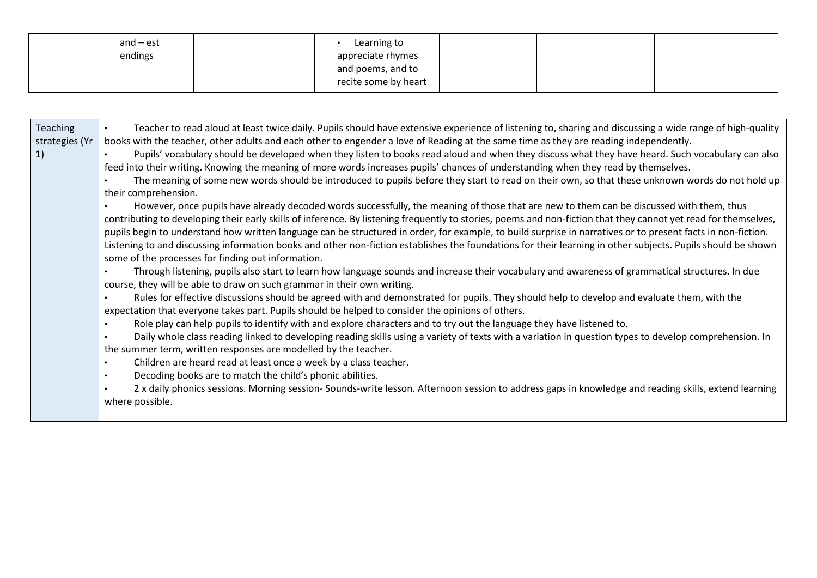| and $-$ est | Learning to          |  |  |
|-------------|----------------------|--|--|
| endings     | appreciate rhymes    |  |  |
|             | and poems, and to    |  |  |
|             | recite some by heart |  |  |

| Teaching<br>strategies (Yr<br>1) | Teacher to read aloud at least twice daily. Pupils should have extensive experience of listening to, sharing and discussing a wide range of high-quality<br>books with the teacher, other adults and each other to engender a love of Reading at the same time as they are reading independently.<br>Pupils' vocabulary should be developed when they listen to books read aloud and when they discuss what they have heard. Such vocabulary can also<br>feed into their writing. Knowing the meaning of more words increases pupils' chances of understanding when they read by themselves.<br>The meaning of some new words should be introduced to pupils before they start to read on their own, so that these unknown words do not hold up<br>their comprehension.<br>However, once pupils have already decoded words successfully, the meaning of those that are new to them can be discussed with them, thus<br>contributing to developing their early skills of inference. By listening frequently to stories, poems and non-fiction that they cannot yet read for themselves,<br>pupils begin to understand how written language can be structured in order, for example, to build surprise in narratives or to present facts in non-fiction.<br>Listening to and discussing information books and other non-fiction establishes the foundations for their learning in other subjects. Pupils should be shown |
|----------------------------------|------------------------------------------------------------------------------------------------------------------------------------------------------------------------------------------------------------------------------------------------------------------------------------------------------------------------------------------------------------------------------------------------------------------------------------------------------------------------------------------------------------------------------------------------------------------------------------------------------------------------------------------------------------------------------------------------------------------------------------------------------------------------------------------------------------------------------------------------------------------------------------------------------------------------------------------------------------------------------------------------------------------------------------------------------------------------------------------------------------------------------------------------------------------------------------------------------------------------------------------------------------------------------------------------------------------------------------------------------------------------------------------------------------------------|
|                                  | Through listening, pupils also start to learn how language sounds and increase their vocabulary and awareness of grammatical structures. In due<br>course, they will be able to draw on such grammar in their own writing.<br>Rules for effective discussions should be agreed with and demonstrated for pupils. They should help to develop and evaluate them, with the<br>$\bullet$<br>expectation that everyone takes part. Pupils should be helped to consider the opinions of others.<br>Role play can help pupils to identify with and explore characters and to try out the language they have listened to.<br>Daily whole class reading linked to developing reading skills using a variety of texts with a variation in question types to develop comprehension. In<br>the summer term, written responses are modelled by the teacher.<br>Children are heard read at least once a week by a class teacher.<br>$\bullet$<br>Decoding books are to match the child's phonic abilities.<br>$\bullet$<br>2 x daily phonics sessions. Morning session- Sounds-write lesson. Afternoon session to address gaps in knowledge and reading skills, extend learning<br>where possible.                                                                                                                                                                                                                                  |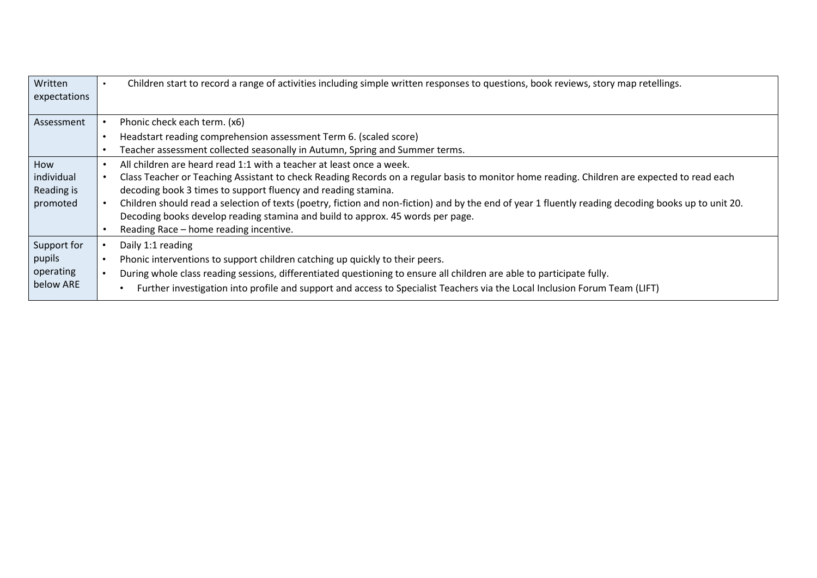| Written      | Children start to record a range of activities including simple written responses to questions, book reviews, story map retellings.                 |
|--------------|-----------------------------------------------------------------------------------------------------------------------------------------------------|
| expectations |                                                                                                                                                     |
|              |                                                                                                                                                     |
| Assessment   | Phonic check each term. (x6)                                                                                                                        |
|              | Headstart reading comprehension assessment Term 6. (scaled score)<br>$\bullet$                                                                      |
|              | Teacher assessment collected seasonally in Autumn, Spring and Summer terms.<br>$\bullet$                                                            |
| How          | All children are heard read 1:1 with a teacher at least once a week.                                                                                |
| individual   | Class Teacher or Teaching Assistant to check Reading Records on a regular basis to monitor home reading. Children are expected to read each         |
| Reading is   | decoding book 3 times to support fluency and reading stamina.                                                                                       |
| promoted     | Children should read a selection of texts (poetry, fiction and non-fiction) and by the end of year 1 fluently reading decoding books up to unit 20. |
|              | Decoding books develop reading stamina and build to approx. 45 words per page.                                                                      |
|              | Reading Race - home reading incentive.                                                                                                              |
| Support for  | Daily 1:1 reading                                                                                                                                   |
| pupils       | Phonic interventions to support children catching up quickly to their peers.                                                                        |
| operating    | During whole class reading sessions, differentiated questioning to ensure all children are able to participate fully.                               |
| below ARE    | Further investigation into profile and support and access to Specialist Teachers via the Local Inclusion Forum Team (LIFT)                          |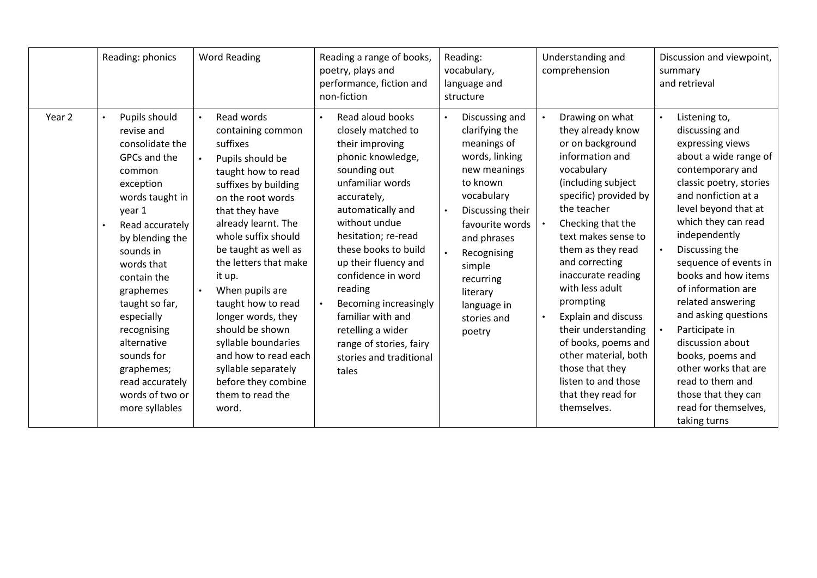|                   | Reading: phonics                                                                                                                                                                                                                                                                                                                                                  | <b>Word Reading</b>                                                                                                                                                                                                                                                                                                                                                                                                                                                       | Reading a range of books,<br>poetry, plays and<br>performance, fiction and<br>non-fiction                                                                                                                                                                                                                                                                                                                                      | Reading:<br>vocabulary,<br>language and<br>structure                                                                                                                                                                                                        | Understanding and<br>comprehension                                                                                                                                                                                                                                                                                                                                                                                                                                                  | Discussion and viewpoint,<br>summary<br>and retrieval                                                                                                                                                                                                                                                                                                                                                                                                                                                                        |
|-------------------|-------------------------------------------------------------------------------------------------------------------------------------------------------------------------------------------------------------------------------------------------------------------------------------------------------------------------------------------------------------------|---------------------------------------------------------------------------------------------------------------------------------------------------------------------------------------------------------------------------------------------------------------------------------------------------------------------------------------------------------------------------------------------------------------------------------------------------------------------------|--------------------------------------------------------------------------------------------------------------------------------------------------------------------------------------------------------------------------------------------------------------------------------------------------------------------------------------------------------------------------------------------------------------------------------|-------------------------------------------------------------------------------------------------------------------------------------------------------------------------------------------------------------------------------------------------------------|-------------------------------------------------------------------------------------------------------------------------------------------------------------------------------------------------------------------------------------------------------------------------------------------------------------------------------------------------------------------------------------------------------------------------------------------------------------------------------------|------------------------------------------------------------------------------------------------------------------------------------------------------------------------------------------------------------------------------------------------------------------------------------------------------------------------------------------------------------------------------------------------------------------------------------------------------------------------------------------------------------------------------|
| Year <sub>2</sub> | Pupils should<br>revise and<br>consolidate the<br>GPCs and the<br>common<br>exception<br>words taught in<br>year 1<br>Read accurately<br>by blending the<br>sounds in<br>words that<br>contain the<br>graphemes<br>taught so far,<br>especially<br>recognising<br>alternative<br>sounds for<br>graphemes;<br>read accurately<br>words of two or<br>more syllables | Read words<br>containing common<br>suffixes<br>Pupils should be<br>taught how to read<br>suffixes by building<br>on the root words<br>that they have<br>already learnt. The<br>whole suffix should<br>be taught as well as<br>the letters that make<br>it up.<br>When pupils are<br>taught how to read<br>longer words, they<br>should be shown<br>syllable boundaries<br>and how to read each<br>syllable separately<br>before they combine<br>them to read the<br>word. | Read aloud books<br>$\bullet$<br>closely matched to<br>their improving<br>phonic knowledge,<br>sounding out<br>unfamiliar words<br>accurately,<br>automatically and<br>without undue<br>hesitation; re-read<br>these books to build<br>up their fluency and<br>confidence in word<br>reading<br>Becoming increasingly<br>familiar with and<br>retelling a wider<br>range of stories, fairy<br>stories and traditional<br>tales | Discussing and<br>clarifying the<br>meanings of<br>words, linking<br>new meanings<br>to known<br>vocabulary<br>Discussing their<br>favourite words<br>and phrases<br>Recognising<br>simple<br>recurring<br>literary<br>language in<br>stories and<br>poetry | Drawing on what<br>they already know<br>or on background<br>information and<br>vocabulary<br>(including subject<br>specific) provided by<br>the teacher<br>Checking that the<br>text makes sense to<br>them as they read<br>and correcting<br>inaccurate reading<br>with less adult<br>prompting<br><b>Explain and discuss</b><br>their understanding<br>of books, poems and<br>other material, both<br>those that they<br>listen to and those<br>that they read for<br>themselves. | Listening to,<br>discussing and<br>expressing views<br>about a wide range of<br>contemporary and<br>classic poetry, stories<br>and nonfiction at a<br>level beyond that at<br>which they can read<br>independently<br>Discussing the<br>sequence of events in<br>books and how items<br>of information are<br>related answering<br>and asking questions<br>Participate in<br>discussion about<br>books, poems and<br>other works that are<br>read to them and<br>those that they can<br>read for themselves,<br>taking turns |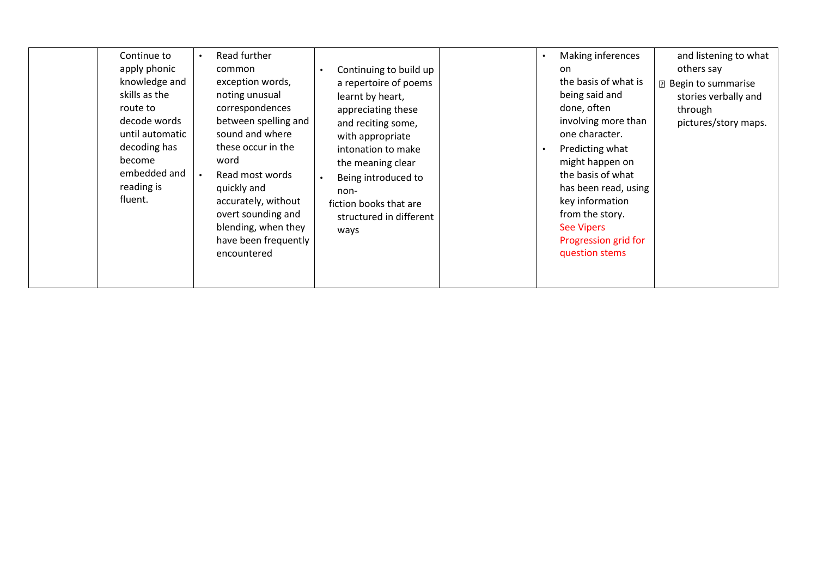|  | Continue to<br>apply phonic<br>knowledge and<br>skills as the<br>route to<br>decode words<br>until automatic<br>decoding has<br>become<br>embedded and<br>reading is<br>fluent. | Read further<br>common<br>exception words,<br>noting unusual<br>correspondences<br>between spelling and<br>sound and where<br>these occur in the<br>word<br>Read most words<br>quickly and<br>accurately, without<br>overt sounding and<br>blending, when they<br>have been frequently<br>encountered | Continuing to build up<br>a repertoire of poems<br>learnt by heart,<br>appreciating these<br>and reciting some,<br>with appropriate<br>intonation to make<br>the meaning clear<br>Being introduced to<br>non-<br>fiction books that are<br>structured in different<br>ways |  | $\bullet$ | Making inferences<br>on<br>the basis of what is<br>being said and<br>done, often<br>involving more than<br>one character.<br>Predicting what<br>might happen on<br>the basis of what<br>has been read, using<br>key information<br>from the story.<br><b>See Vipers</b><br>Progression grid for<br>question stems | and listening to what<br>others say<br><b>2</b> Begin to summarise<br>stories verbally and<br>through<br>pictures/story maps. |
|--|---------------------------------------------------------------------------------------------------------------------------------------------------------------------------------|-------------------------------------------------------------------------------------------------------------------------------------------------------------------------------------------------------------------------------------------------------------------------------------------------------|----------------------------------------------------------------------------------------------------------------------------------------------------------------------------------------------------------------------------------------------------------------------------|--|-----------|-------------------------------------------------------------------------------------------------------------------------------------------------------------------------------------------------------------------------------------------------------------------------------------------------------------------|-------------------------------------------------------------------------------------------------------------------------------|
|--|---------------------------------------------------------------------------------------------------------------------------------------------------------------------------------|-------------------------------------------------------------------------------------------------------------------------------------------------------------------------------------------------------------------------------------------------------------------------------------------------------|----------------------------------------------------------------------------------------------------------------------------------------------------------------------------------------------------------------------------------------------------------------------------|--|-----------|-------------------------------------------------------------------------------------------------------------------------------------------------------------------------------------------------------------------------------------------------------------------------------------------------------------------|-------------------------------------------------------------------------------------------------------------------------------|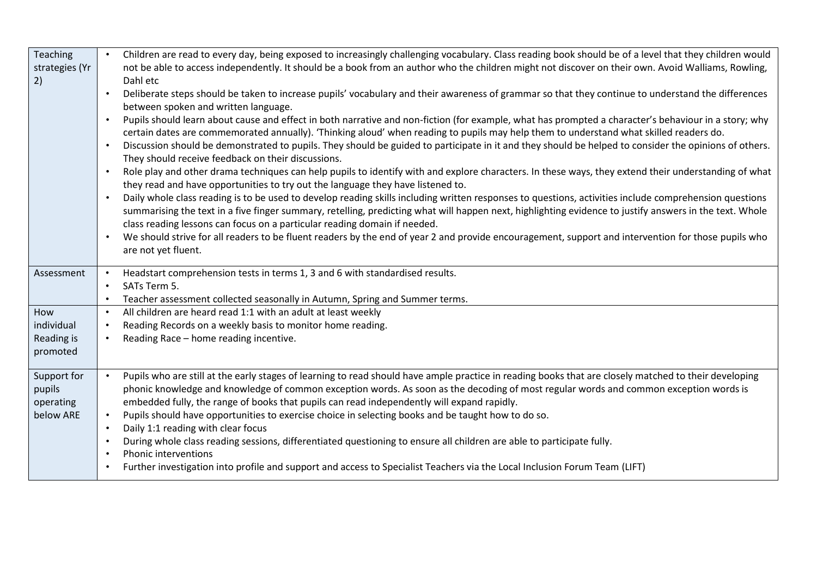| Teaching<br>strategies (Yr<br>2)                | Children are read to every day, being exposed to increasingly challenging vocabulary. Class reading book should be of a level that they children would<br>not be able to access independently. It should be a book from an author who the children might not discover on their own. Avoid Walliams, Rowling,<br>Dahl etc<br>Deliberate steps should be taken to increase pupils' vocabulary and their awareness of grammar so that they continue to understand the differences<br>between spoken and written language.<br>Pupils should learn about cause and effect in both narrative and non-fiction (for example, what has prompted a character's behaviour in a story; why<br>$\bullet$<br>certain dates are commemorated annually). 'Thinking aloud' when reading to pupils may help them to understand what skilled readers do.<br>Discussion should be demonstrated to pupils. They should be guided to participate in it and they should be helped to consider the opinions of others.<br>$\bullet$<br>They should receive feedback on their discussions.<br>Role play and other drama techniques can help pupils to identify with and explore characters. In these ways, they extend their understanding of what<br>$\bullet$<br>they read and have opportunities to try out the language they have listened to.<br>Daily whole class reading is to be used to develop reading skills including written responses to questions, activities include comprehension questions<br>$\bullet$<br>summarising the text in a five finger summary, retelling, predicting what will happen next, highlighting evidence to justify answers in the text. Whole<br>class reading lessons can focus on a particular reading domain if needed.<br>We should strive for all readers to be fluent readers by the end of year 2 and provide encouragement, support and intervention for those pupils who<br>$\bullet$<br>are not yet fluent. |
|-------------------------------------------------|-------------------------------------------------------------------------------------------------------------------------------------------------------------------------------------------------------------------------------------------------------------------------------------------------------------------------------------------------------------------------------------------------------------------------------------------------------------------------------------------------------------------------------------------------------------------------------------------------------------------------------------------------------------------------------------------------------------------------------------------------------------------------------------------------------------------------------------------------------------------------------------------------------------------------------------------------------------------------------------------------------------------------------------------------------------------------------------------------------------------------------------------------------------------------------------------------------------------------------------------------------------------------------------------------------------------------------------------------------------------------------------------------------------------------------------------------------------------------------------------------------------------------------------------------------------------------------------------------------------------------------------------------------------------------------------------------------------------------------------------------------------------------------------------------------------------------------------------------------------------------------------------------------------------------------------|
| Assessment                                      | Headstart comprehension tests in terms 1, 3 and 6 with standardised results.<br>SATs Term 5.<br>$\bullet$<br>Teacher assessment collected seasonally in Autumn, Spring and Summer terms.<br>$\bullet$                                                                                                                                                                                                                                                                                                                                                                                                                                                                                                                                                                                                                                                                                                                                                                                                                                                                                                                                                                                                                                                                                                                                                                                                                                                                                                                                                                                                                                                                                                                                                                                                                                                                                                                               |
| How<br>individual                               | All children are heard read 1:1 with an adult at least weekly<br>$\bullet$<br>Reading Records on a weekly basis to monitor home reading.<br>$\bullet$                                                                                                                                                                                                                                                                                                                                                                                                                                                                                                                                                                                                                                                                                                                                                                                                                                                                                                                                                                                                                                                                                                                                                                                                                                                                                                                                                                                                                                                                                                                                                                                                                                                                                                                                                                               |
| Reading is<br>promoted                          | Reading Race - home reading incentive.                                                                                                                                                                                                                                                                                                                                                                                                                                                                                                                                                                                                                                                                                                                                                                                                                                                                                                                                                                                                                                                                                                                                                                                                                                                                                                                                                                                                                                                                                                                                                                                                                                                                                                                                                                                                                                                                                              |
| Support for<br>pupils<br>operating<br>below ARE | Pupils who are still at the early stages of learning to read should have ample practice in reading books that are closely matched to their developing<br>phonic knowledge and knowledge of common exception words. As soon as the decoding of most regular words and common exception words is<br>embedded fully, the range of books that pupils can read independently will expand rapidly.<br>Pupils should have opportunities to exercise choice in selecting books and be taught how to do so.<br>Daily 1:1 reading with clear focus<br>$\bullet$<br>During whole class reading sessions, differentiated questioning to ensure all children are able to participate fully.<br>$\bullet$<br>Phonic interventions<br>$\bullet$<br>Further investigation into profile and support and access to Specialist Teachers via the Local Inclusion Forum Team (LIFT)<br>$\bullet$                                                                                                                                                                                                                                                                                                                                                                                                                                                                                                                                                                                                                                                                                                                                                                                                                                                                                                                                                                                                                                                         |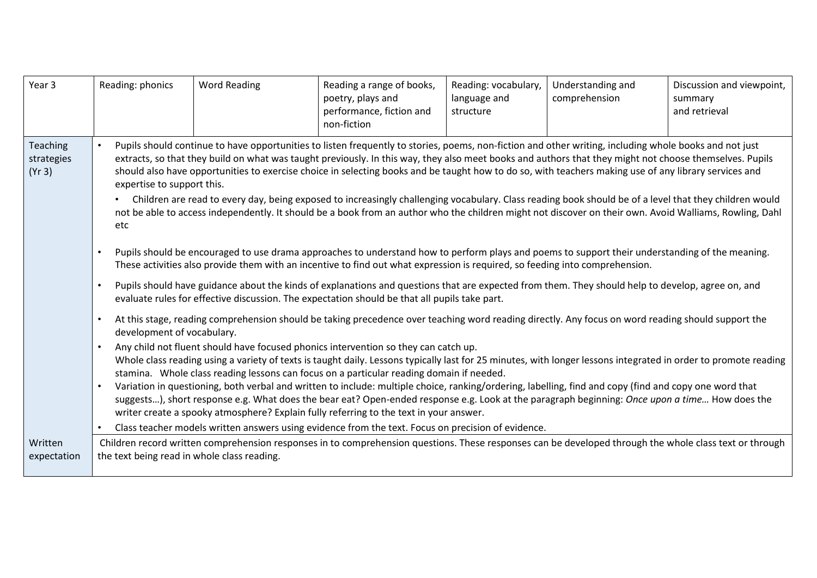| Year <sub>3</sub>                       | Reading: phonics                                                                                                                                                                                                                                                                                                                                                                                                                                                                                                                                                                                                                                                                                                                                                                                                                                                                                                                                                                                                                                                             | <b>Word Reading</b>                                                                                                                                                                                                                                                                                                                                                                                                                                                                                                                                                                                                                                                                                                                                                                                                           | Reading a range of books,<br>poetry, plays and<br>performance, fiction and<br>non-fiction | Reading: vocabulary,<br>language and<br>structure | Understanding and<br>comprehension | Discussion and viewpoint,<br>summary<br>and retrieval |  |  |
|-----------------------------------------|------------------------------------------------------------------------------------------------------------------------------------------------------------------------------------------------------------------------------------------------------------------------------------------------------------------------------------------------------------------------------------------------------------------------------------------------------------------------------------------------------------------------------------------------------------------------------------------------------------------------------------------------------------------------------------------------------------------------------------------------------------------------------------------------------------------------------------------------------------------------------------------------------------------------------------------------------------------------------------------------------------------------------------------------------------------------------|-------------------------------------------------------------------------------------------------------------------------------------------------------------------------------------------------------------------------------------------------------------------------------------------------------------------------------------------------------------------------------------------------------------------------------------------------------------------------------------------------------------------------------------------------------------------------------------------------------------------------------------------------------------------------------------------------------------------------------------------------------------------------------------------------------------------------------|-------------------------------------------------------------------------------------------|---------------------------------------------------|------------------------------------|-------------------------------------------------------|--|--|
| <b>Teaching</b><br>strategies<br>(Yr 3) | etc                                                                                                                                                                                                                                                                                                                                                                                                                                                                                                                                                                                                                                                                                                                                                                                                                                                                                                                                                                                                                                                                          | Pupils should continue to have opportunities to listen frequently to stories, poems, non-fiction and other writing, including whole books and not just<br>extracts, so that they build on what was taught previously. In this way, they also meet books and authors that they might not choose themselves. Pupils<br>should also have opportunities to exercise choice in selecting books and be taught how to do so, with teachers making use of any library services and<br>expertise to support this.<br>Children are read to every day, being exposed to increasingly challenging vocabulary. Class reading book should be of a level that they children would<br>not be able to access independently. It should be a book from an author who the children might not discover on their own. Avoid Walliams, Rowling, Dahl |                                                                                           |                                                   |                                    |                                                       |  |  |
|                                         | Pupils should be encouraged to use drama approaches to understand how to perform plays and poems to support their understanding of the meaning.<br>These activities also provide them with an incentive to find out what expression is required, so feeding into comprehension.<br>Pupils should have guidance about the kinds of explanations and questions that are expected from them. They should help to develop, agree on, and<br>$\bullet$<br>evaluate rules for effective discussion. The expectation should be that all pupils take part.                                                                                                                                                                                                                                                                                                                                                                                                                                                                                                                           |                                                                                                                                                                                                                                                                                                                                                                                                                                                                                                                                                                                                                                                                                                                                                                                                                               |                                                                                           |                                                   |                                    |                                                       |  |  |
|                                         | At this stage, reading comprehension should be taking precedence over teaching word reading directly. Any focus on word reading should support the<br>$\bullet$<br>development of vocabulary.<br>Any child not fluent should have focused phonics intervention so they can catch up.<br>Whole class reading using a variety of texts is taught daily. Lessons typically last for 25 minutes, with longer lessons integrated in order to promote reading<br>stamina. Whole class reading lessons can focus on a particular reading domain if needed.<br>Variation in questioning, both verbal and written to include: multiple choice, ranking/ordering, labelling, find and copy (find and copy one word that<br>suggests), short response e.g. What does the bear eat? Open-ended response e.g. Look at the paragraph beginning: Once upon a time How does the<br>writer create a spooky atmosphere? Explain fully referring to the text in your answer.<br>Class teacher models written answers using evidence from the text. Focus on precision of evidence.<br>$\bullet$ |                                                                                                                                                                                                                                                                                                                                                                                                                                                                                                                                                                                                                                                                                                                                                                                                                               |                                                                                           |                                                   |                                    |                                                       |  |  |
| Written<br>expectation                  |                                                                                                                                                                                                                                                                                                                                                                                                                                                                                                                                                                                                                                                                                                                                                                                                                                                                                                                                                                                                                                                                              | Children record written comprehension responses in to comprehension questions. These responses can be developed through the whole class text or through<br>the text being read in whole class reading.                                                                                                                                                                                                                                                                                                                                                                                                                                                                                                                                                                                                                        |                                                                                           |                                                   |                                    |                                                       |  |  |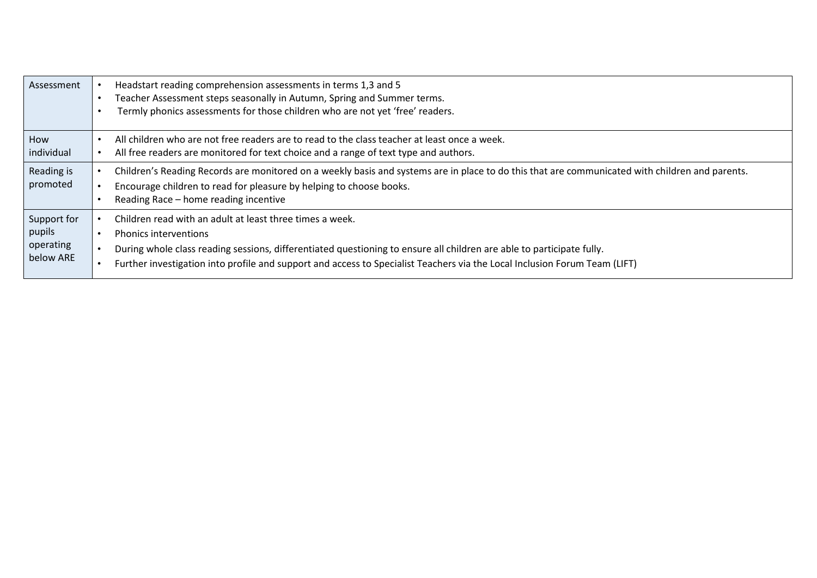| Assessment             | Headstart reading comprehension assessments in terms 1,3 and 5<br>Teacher Assessment steps seasonally in Autumn, Spring and Summer terms.<br>Termly phonics assessments for those children who are not yet 'free' readers.                                      |
|------------------------|-----------------------------------------------------------------------------------------------------------------------------------------------------------------------------------------------------------------------------------------------------------------|
| How                    | All children who are not free readers are to read to the class teacher at least once a week.                                                                                                                                                                    |
| individual             | All free readers are monitored for text choice and a range of text type and authors.                                                                                                                                                                            |
| Reading is<br>promoted | Children's Reading Records are monitored on a weekly basis and systems are in place to do this that are communicated with children and parents.<br>Encourage children to read for pleasure by helping to choose books.<br>Reading Race - home reading incentive |
| Support for            | Children read with an adult at least three times a week.                                                                                                                                                                                                        |
| pupils                 | <b>Phonics interventions</b>                                                                                                                                                                                                                                    |
| operating              | During whole class reading sessions, differentiated questioning to ensure all children are able to participate fully.                                                                                                                                           |
| below ARE              | Further investigation into profile and support and access to Specialist Teachers via the Local Inclusion Forum Team (LIFT)                                                                                                                                      |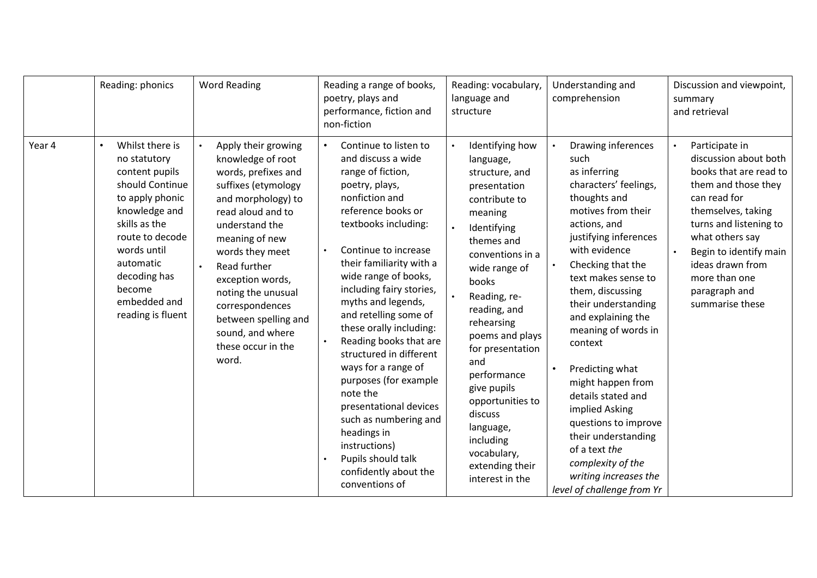|        | Reading: phonics                                                                                                                                                                                                                                     | <b>Word Reading</b>                                                                                                                                                                                                                                                                                                                              | Reading a range of books,<br>poetry, plays and<br>performance, fiction and<br>non-fiction                                                                                                                                                                                                                                                                                                                                                                                                                                                                                                                 | Reading: vocabulary,<br>language and<br>structure                                                                                                                                                                                                                                                                                                                                                             | Understanding and<br>comprehension                                                                                                                                                                                                                                                                                                                                                                                                                                                                                                             | Discussion and viewpoint,<br>summary<br>and retrieval                                                                                                                                                                                                                          |
|--------|------------------------------------------------------------------------------------------------------------------------------------------------------------------------------------------------------------------------------------------------------|--------------------------------------------------------------------------------------------------------------------------------------------------------------------------------------------------------------------------------------------------------------------------------------------------------------------------------------------------|-----------------------------------------------------------------------------------------------------------------------------------------------------------------------------------------------------------------------------------------------------------------------------------------------------------------------------------------------------------------------------------------------------------------------------------------------------------------------------------------------------------------------------------------------------------------------------------------------------------|---------------------------------------------------------------------------------------------------------------------------------------------------------------------------------------------------------------------------------------------------------------------------------------------------------------------------------------------------------------------------------------------------------------|------------------------------------------------------------------------------------------------------------------------------------------------------------------------------------------------------------------------------------------------------------------------------------------------------------------------------------------------------------------------------------------------------------------------------------------------------------------------------------------------------------------------------------------------|--------------------------------------------------------------------------------------------------------------------------------------------------------------------------------------------------------------------------------------------------------------------------------|
| Year 4 | Whilst there is<br>$\bullet$<br>no statutory<br>content pupils<br>should Continue<br>to apply phonic<br>knowledge and<br>skills as the<br>route to decode<br>words until<br>automatic<br>decoding has<br>become<br>embedded and<br>reading is fluent | Apply their growing<br>knowledge of root<br>words, prefixes and<br>suffixes (etymology<br>and morphology) to<br>read aloud and to<br>understand the<br>meaning of new<br>words they meet<br>Read further<br>exception words,<br>noting the unusual<br>correspondences<br>between spelling and<br>sound, and where<br>these occur in the<br>word. | Continue to listen to<br>and discuss a wide<br>range of fiction,<br>poetry, plays,<br>nonfiction and<br>reference books or<br>textbooks including:<br>Continue to increase<br>their familiarity with a<br>wide range of books,<br>including fairy stories,<br>myths and legends,<br>and retelling some of<br>these orally including:<br>Reading books that are<br>structured in different<br>ways for a range of<br>purposes (for example<br>note the<br>presentational devices<br>such as numbering and<br>headings in<br>instructions)<br>Pupils should talk<br>confidently about the<br>conventions of | Identifying how<br>language,<br>structure, and<br>presentation<br>contribute to<br>meaning<br>Identifying<br>themes and<br>conventions in a<br>wide range of<br>books<br>Reading, re-<br>reading, and<br>rehearsing<br>poems and plays<br>for presentation<br>and<br>performance<br>give pupils<br>opportunities to<br>discuss<br>language,<br>including<br>vocabulary,<br>extending their<br>interest in the | Drawing inferences<br>such<br>as inferring<br>characters' feelings,<br>thoughts and<br>motives from their<br>actions, and<br>justifying inferences<br>with evidence<br>Checking that the<br>text makes sense to<br>them, discussing<br>their understanding<br>and explaining the<br>meaning of words in<br>context<br>Predicting what<br>might happen from<br>details stated and<br>implied Asking<br>questions to improve<br>their understanding<br>of a text the<br>complexity of the<br>writing increases the<br>level of challenge from Yr | Participate in<br>discussion about both<br>books that are read to<br>them and those they<br>can read for<br>themselves, taking<br>turns and listening to<br>what others say<br>Begin to identify main<br>ideas drawn from<br>more than one<br>paragraph and<br>summarise these |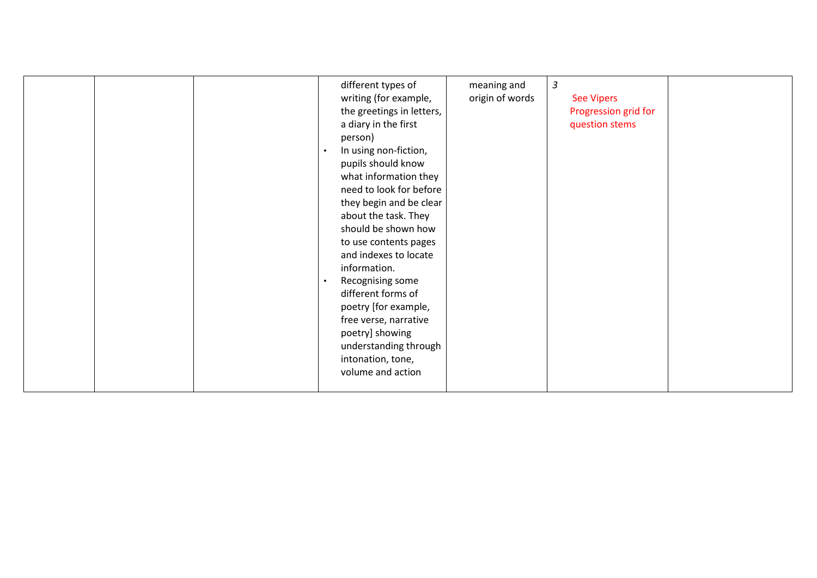|  | different types of<br>writing (for example,<br>the greetings in letters,<br>a diary in the first<br>person)<br>In using non-fiction,<br>$\bullet$<br>pupils should know<br>what information they<br>need to look for before<br>they begin and be clear<br>about the task. They<br>should be shown how<br>to use contents pages<br>and indexes to locate<br>information.<br>Recognising some<br>$\bullet$<br>different forms of<br>poetry [for example,<br>free verse, narrative<br>poetry] showing<br>understanding through<br>intonation, tone,<br>volume and action | meaning and<br>origin of words | $\mathfrak{Z}$<br><b>See Vipers</b><br>Progression grid for<br>question stems |  |
|--|-----------------------------------------------------------------------------------------------------------------------------------------------------------------------------------------------------------------------------------------------------------------------------------------------------------------------------------------------------------------------------------------------------------------------------------------------------------------------------------------------------------------------------------------------------------------------|--------------------------------|-------------------------------------------------------------------------------|--|
|--|-----------------------------------------------------------------------------------------------------------------------------------------------------------------------------------------------------------------------------------------------------------------------------------------------------------------------------------------------------------------------------------------------------------------------------------------------------------------------------------------------------------------------------------------------------------------------|--------------------------------|-------------------------------------------------------------------------------|--|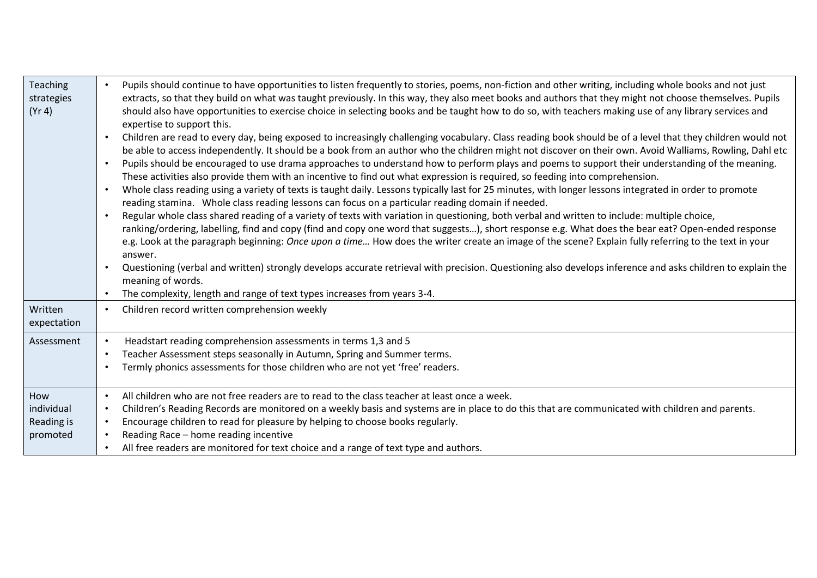| Teaching<br>strategies<br>(Yr 4)            | Pupils should continue to have opportunities to listen frequently to stories, poems, non-fiction and other writing, including whole books and not just<br>extracts, so that they build on what was taught previously. In this way, they also meet books and authors that they might not choose themselves. Pupils<br>should also have opportunities to exercise choice in selecting books and be taught how to do so, with teachers making use of any library services and<br>expertise to support this.<br>Children are read to every day, being exposed to increasingly challenging vocabulary. Class reading book should be of a level that they children would not<br>be able to access independently. It should be a book from an author who the children might not discover on their own. Avoid Walliams, Rowling, Dahl etc<br>Pupils should be encouraged to use drama approaches to understand how to perform plays and poems to support their understanding of the meaning.<br>These activities also provide them with an incentive to find out what expression is required, so feeding into comprehension.<br>Whole class reading using a variety of texts is taught daily. Lessons typically last for 25 minutes, with longer lessons integrated in order to promote<br>$\bullet$<br>reading stamina. Whole class reading lessons can focus on a particular reading domain if needed.<br>Regular whole class shared reading of a variety of texts with variation in questioning, both verbal and written to include: multiple choice,<br>$\bullet$<br>ranking/ordering, labelling, find and copy (find and copy one word that suggests), short response e.g. What does the bear eat? Open-ended response<br>e.g. Look at the paragraph beginning: Once upon a time How does the writer create an image of the scene? Explain fully referring to the text in your<br>answer.<br>Questioning (verbal and written) strongly develops accurate retrieval with precision. Questioning also develops inference and asks children to explain the<br>$\bullet$<br>meaning of words.<br>The complexity, length and range of text types increases from years 3-4. |
|---------------------------------------------|--------------------------------------------------------------------------------------------------------------------------------------------------------------------------------------------------------------------------------------------------------------------------------------------------------------------------------------------------------------------------------------------------------------------------------------------------------------------------------------------------------------------------------------------------------------------------------------------------------------------------------------------------------------------------------------------------------------------------------------------------------------------------------------------------------------------------------------------------------------------------------------------------------------------------------------------------------------------------------------------------------------------------------------------------------------------------------------------------------------------------------------------------------------------------------------------------------------------------------------------------------------------------------------------------------------------------------------------------------------------------------------------------------------------------------------------------------------------------------------------------------------------------------------------------------------------------------------------------------------------------------------------------------------------------------------------------------------------------------------------------------------------------------------------------------------------------------------------------------------------------------------------------------------------------------------------------------------------------------------------------------------------------------------------------------------------------------------------------------------------------------------------------------------------|
| Written<br>expectation                      | Children record written comprehension weekly<br>$\bullet$                                                                                                                                                                                                                                                                                                                                                                                                                                                                                                                                                                                                                                                                                                                                                                                                                                                                                                                                                                                                                                                                                                                                                                                                                                                                                                                                                                                                                                                                                                                                                                                                                                                                                                                                                                                                                                                                                                                                                                                                                                                                                                          |
| Assessment                                  | Headstart reading comprehension assessments in terms 1,3 and 5<br>Teacher Assessment steps seasonally in Autumn, Spring and Summer terms.<br>$\bullet$<br>Termly phonics assessments for those children who are not yet 'free' readers.                                                                                                                                                                                                                                                                                                                                                                                                                                                                                                                                                                                                                                                                                                                                                                                                                                                                                                                                                                                                                                                                                                                                                                                                                                                                                                                                                                                                                                                                                                                                                                                                                                                                                                                                                                                                                                                                                                                            |
| How<br>individual<br>Reading is<br>promoted | All children who are not free readers are to read to the class teacher at least once a week.<br>$\bullet$<br>Children's Reading Records are monitored on a weekly basis and systems are in place to do this that are communicated with children and parents.<br>$\bullet$<br>Encourage children to read for pleasure by helping to choose books regularly.<br>Reading Race - home reading incentive<br>All free readers are monitored for text choice and a range of text type and authors.                                                                                                                                                                                                                                                                                                                                                                                                                                                                                                                                                                                                                                                                                                                                                                                                                                                                                                                                                                                                                                                                                                                                                                                                                                                                                                                                                                                                                                                                                                                                                                                                                                                                        |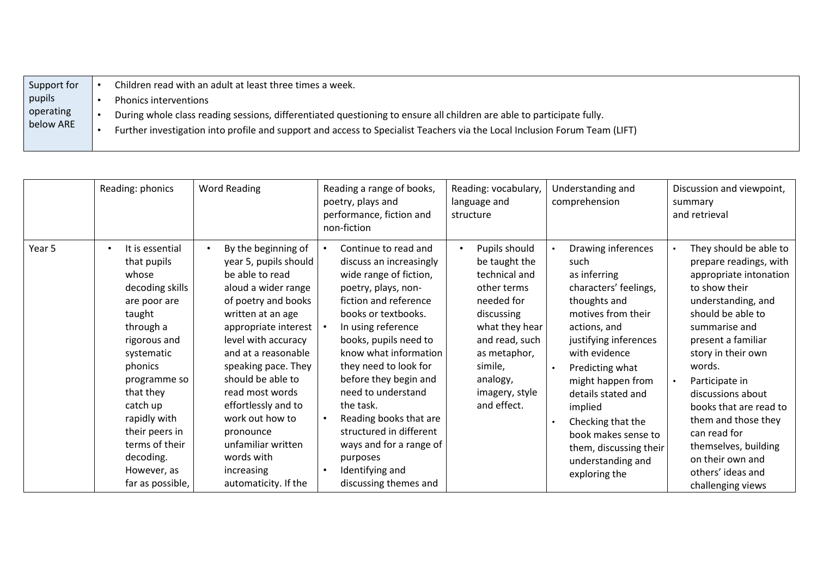| Support for | Children read with an adult at least three times a week.                                                                   |
|-------------|----------------------------------------------------------------------------------------------------------------------------|
| pupils      | <b>Phonics interventions</b>                                                                                               |
| operating   | During whole class reading sessions, differentiated questioning to ensure all children are able to participate fully.      |
| below ARE   | Further investigation into profile and support and access to Specialist Teachers via the Local Inclusion Forum Team (LIFT) |
|             |                                                                                                                            |

|        | Reading: phonics                                                                                                                                                                                                                                                                                     | <b>Word Reading</b>                                                                                                                                                                                                                                                                                                                                                                                      | Reading a range of books,<br>poetry, plays and<br>performance, fiction and<br>non-fiction                                                                                                                                                                                                                                                                                                                                                             | Reading: vocabulary,<br>language and<br>structure                                                                                                                                                                   | Understanding and<br>comprehension                                                                                                                                                                                                                                                                                                                       | Discussion and viewpoint,<br>summary<br>and retrieval                                                                                                                                                                                                                                                                                                                                                       |
|--------|------------------------------------------------------------------------------------------------------------------------------------------------------------------------------------------------------------------------------------------------------------------------------------------------------|----------------------------------------------------------------------------------------------------------------------------------------------------------------------------------------------------------------------------------------------------------------------------------------------------------------------------------------------------------------------------------------------------------|-------------------------------------------------------------------------------------------------------------------------------------------------------------------------------------------------------------------------------------------------------------------------------------------------------------------------------------------------------------------------------------------------------------------------------------------------------|---------------------------------------------------------------------------------------------------------------------------------------------------------------------------------------------------------------------|----------------------------------------------------------------------------------------------------------------------------------------------------------------------------------------------------------------------------------------------------------------------------------------------------------------------------------------------------------|-------------------------------------------------------------------------------------------------------------------------------------------------------------------------------------------------------------------------------------------------------------------------------------------------------------------------------------------------------------------------------------------------------------|
| Year 5 | It is essential<br>$\bullet$<br>that pupils<br>whose<br>decoding skills<br>are poor are<br>taught<br>through a<br>rigorous and<br>systematic<br>phonics<br>programme so<br>that they<br>catch up<br>rapidly with<br>their peers in<br>terms of their<br>decoding.<br>However, as<br>far as possible, | By the beginning of<br>year 5, pupils should<br>be able to read<br>aloud a wider range<br>of poetry and books<br>written at an age<br>appropriate interest<br>level with accuracy<br>and at a reasonable<br>speaking pace. They<br>should be able to<br>read most words<br>effortlessly and to<br>work out how to<br>pronounce<br>unfamiliar written<br>words with<br>increasing<br>automaticity. If the | Continue to read and<br>discuss an increasingly<br>wide range of fiction,<br>poetry, plays, non-<br>fiction and reference<br>books or textbooks.<br>In using reference<br>books, pupils need to<br>know what information<br>they need to look for<br>before they begin and<br>need to understand<br>the task.<br>Reading books that are<br>structured in different<br>ways and for a range of<br>purposes<br>Identifying and<br>discussing themes and | Pupils should<br>$\bullet$<br>be taught the<br>technical and<br>other terms<br>needed for<br>discussing<br>what they hear<br>and read, such<br>as metaphor,<br>simile,<br>analogy,<br>imagery, style<br>and effect. | Drawing inferences<br>such<br>as inferring<br>characters' feelings,<br>thoughts and<br>motives from their<br>actions, and<br>justifying inferences<br>with evidence<br>Predicting what<br>might happen from<br>details stated and<br>implied<br>Checking that the<br>book makes sense to<br>them, discussing their<br>understanding and<br>exploring the | They should be able to<br>prepare readings, with<br>appropriate intonation<br>to show their<br>understanding, and<br>should be able to<br>summarise and<br>present a familiar<br>story in their own<br>words.<br>Participate in<br>discussions about<br>books that are read to<br>them and those they<br>can read for<br>themselves, building<br>on their own and<br>others' ideas and<br>challenging views |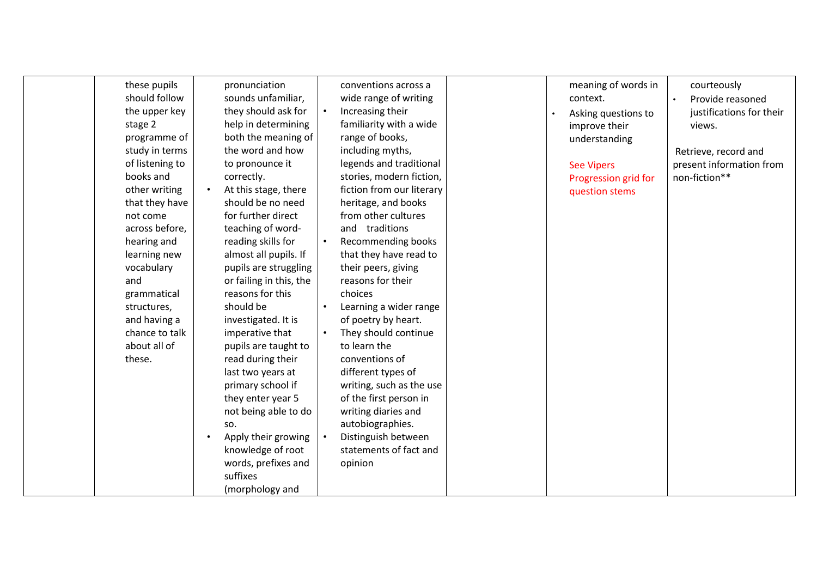| these pupils<br>should follow<br>the upper key<br>stage 2<br>programme of<br>study in terms<br>of listening to<br>books and<br>other writing<br>that they have<br>not come<br>across before,<br>hearing and<br>learning new<br>vocabulary<br>and<br>grammatical<br>structures,<br>and having a<br>chance to talk<br>about all of<br>these. | pronunciation<br>sounds unfamiliar,<br>they should ask for<br>help in determining<br>both the meaning of<br>the word and how<br>to pronounce it<br>correctly.<br>At this stage, there<br>should be no need<br>for further direct<br>teaching of word-<br>reading skills for<br>almost all pupils. If<br>pupils are struggling<br>or failing in this, the<br>reasons for this<br>should be<br>investigated. It is<br>imperative that<br>pupils are taught to<br>read during their<br>last two years at<br>primary school if<br>they enter year 5<br>not being able to do<br>SO.<br>Apply their growing<br>knowledge of root<br>words, prefixes and<br>suffixes<br>(morphology and | $\bullet$<br>$\bullet$ | conventions across a<br>wide range of writing<br>Increasing their<br>familiarity with a wide<br>range of books,<br>including myths,<br>legends and traditional<br>stories, modern fiction,<br>fiction from our literary<br>heritage, and books<br>from other cultures<br>and traditions<br>Recommending books<br>that they have read to<br>their peers, giving<br>reasons for their<br>choices<br>Learning a wider range<br>of poetry by heart.<br>They should continue<br>to learn the<br>conventions of<br>different types of<br>writing, such as the use<br>of the first person in<br>writing diaries and<br>autobiographies.<br>Distinguish between<br>statements of fact and<br>opinion |  |  | meaning of words in<br>context.<br>Asking questions to<br>improve their<br>understanding<br><b>See Vipers</b><br>Progression grid for<br>question stems | courteously<br>Provide reasoned<br>justifications for their<br>views.<br>Retrieve, record and<br>present information from<br>non-fiction** |
|--------------------------------------------------------------------------------------------------------------------------------------------------------------------------------------------------------------------------------------------------------------------------------------------------------------------------------------------|----------------------------------------------------------------------------------------------------------------------------------------------------------------------------------------------------------------------------------------------------------------------------------------------------------------------------------------------------------------------------------------------------------------------------------------------------------------------------------------------------------------------------------------------------------------------------------------------------------------------------------------------------------------------------------|------------------------|----------------------------------------------------------------------------------------------------------------------------------------------------------------------------------------------------------------------------------------------------------------------------------------------------------------------------------------------------------------------------------------------------------------------------------------------------------------------------------------------------------------------------------------------------------------------------------------------------------------------------------------------------------------------------------------------|--|--|---------------------------------------------------------------------------------------------------------------------------------------------------------|--------------------------------------------------------------------------------------------------------------------------------------------|
|--------------------------------------------------------------------------------------------------------------------------------------------------------------------------------------------------------------------------------------------------------------------------------------------------------------------------------------------|----------------------------------------------------------------------------------------------------------------------------------------------------------------------------------------------------------------------------------------------------------------------------------------------------------------------------------------------------------------------------------------------------------------------------------------------------------------------------------------------------------------------------------------------------------------------------------------------------------------------------------------------------------------------------------|------------------------|----------------------------------------------------------------------------------------------------------------------------------------------------------------------------------------------------------------------------------------------------------------------------------------------------------------------------------------------------------------------------------------------------------------------------------------------------------------------------------------------------------------------------------------------------------------------------------------------------------------------------------------------------------------------------------------------|--|--|---------------------------------------------------------------------------------------------------------------------------------------------------------|--------------------------------------------------------------------------------------------------------------------------------------------|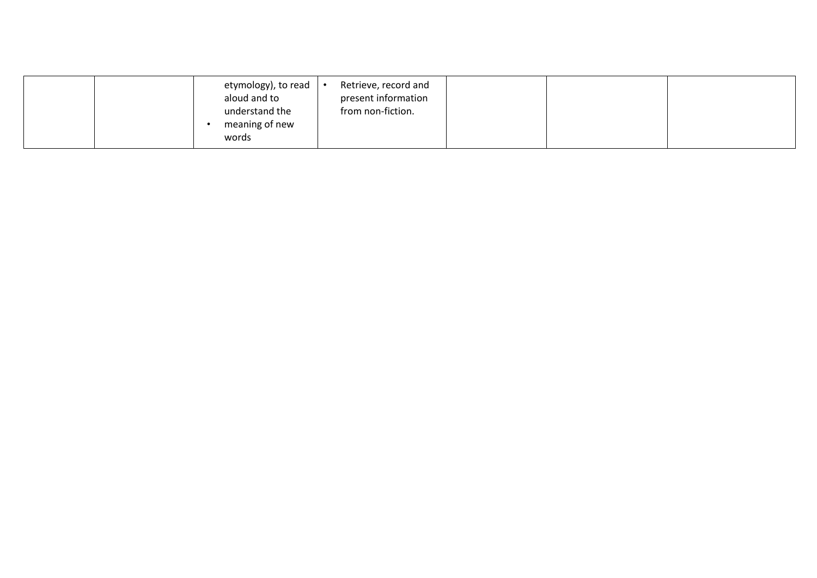| etymology), to read<br>aloud and to<br>understand the<br>meaning of new<br>words | Retrieve, record and<br>present information<br>from non-fiction. |  |
|----------------------------------------------------------------------------------|------------------------------------------------------------------|--|
|----------------------------------------------------------------------------------|------------------------------------------------------------------|--|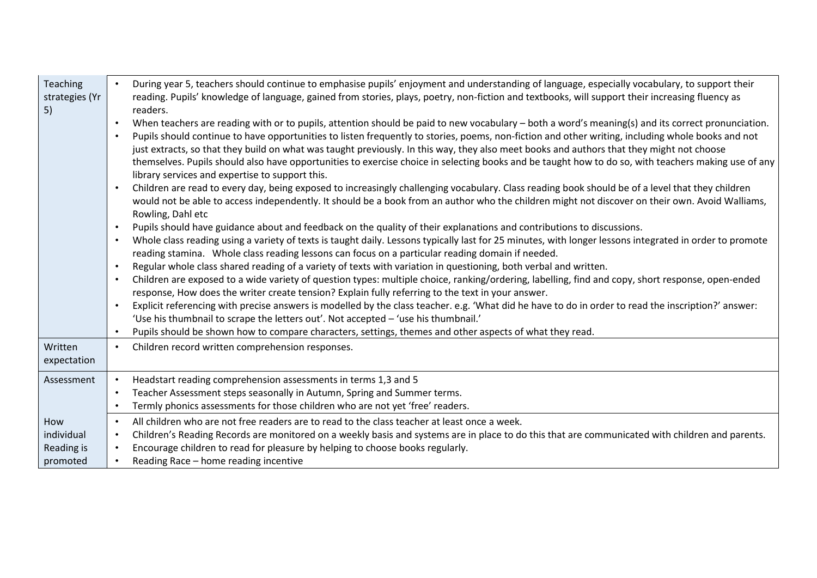| Teaching<br>strategies (Yr<br>5)            | During year 5, teachers should continue to emphasise pupils' enjoyment and understanding of language, especially vocabulary, to support their<br>reading. Pupils' knowledge of language, gained from stories, plays, poetry, non-fiction and textbooks, will support their increasing fluency as<br>readers.<br>When teachers are reading with or to pupils, attention should be paid to new vocabulary – both a word's meaning(s) and its correct pronunciation.<br>Pupils should continue to have opportunities to listen frequently to stories, poems, non-fiction and other writing, including whole books and not<br>$\bullet$<br>just extracts, so that they build on what was taught previously. In this way, they also meet books and authors that they might not choose<br>themselves. Pupils should also have opportunities to exercise choice in selecting books and be taught how to do so, with teachers making use of any<br>library services and expertise to support this.<br>Children are read to every day, being exposed to increasingly challenging vocabulary. Class reading book should be of a level that they children<br>$\bullet$<br>would not be able to access independently. It should be a book from an author who the children might not discover on their own. Avoid Walliams,<br>Rowling, Dahl etc<br>Pupils should have guidance about and feedback on the quality of their explanations and contributions to discussions.<br>$\bullet$<br>Whole class reading using a variety of texts is taught daily. Lessons typically last for 25 minutes, with longer lessons integrated in order to promote<br>$\bullet$<br>reading stamina. Whole class reading lessons can focus on a particular reading domain if needed.<br>Regular whole class shared reading of a variety of texts with variation in questioning, both verbal and written.<br>$\bullet$<br>Children are exposed to a wide variety of question types: multiple choice, ranking/ordering, labelling, find and copy, short response, open-ended<br>$\bullet$<br>response, How does the writer create tension? Explain fully referring to the text in your answer.<br>Explicit referencing with precise answers is modelled by the class teacher. e.g. 'What did he have to do in order to read the inscription?' answer:<br>$\bullet$<br>'Use his thumbnail to scrape the letters out'. Not accepted - 'use his thumbnail.'<br>Pupils should be shown how to compare characters, settings, themes and other aspects of what they read. |
|---------------------------------------------|------------------------------------------------------------------------------------------------------------------------------------------------------------------------------------------------------------------------------------------------------------------------------------------------------------------------------------------------------------------------------------------------------------------------------------------------------------------------------------------------------------------------------------------------------------------------------------------------------------------------------------------------------------------------------------------------------------------------------------------------------------------------------------------------------------------------------------------------------------------------------------------------------------------------------------------------------------------------------------------------------------------------------------------------------------------------------------------------------------------------------------------------------------------------------------------------------------------------------------------------------------------------------------------------------------------------------------------------------------------------------------------------------------------------------------------------------------------------------------------------------------------------------------------------------------------------------------------------------------------------------------------------------------------------------------------------------------------------------------------------------------------------------------------------------------------------------------------------------------------------------------------------------------------------------------------------------------------------------------------------------------------------------------------------------------------------------------------------------------------------------------------------------------------------------------------------------------------------------------------------------------------------------------------------------------------------------------------------------------------------------------------------------------------------------------------------------------------------------------------------------------------------------------|
| Written<br>expectation                      | Children record written comprehension responses.<br>$\bullet$                                                                                                                                                                                                                                                                                                                                                                                                                                                                                                                                                                                                                                                                                                                                                                                                                                                                                                                                                                                                                                                                                                                                                                                                                                                                                                                                                                                                                                                                                                                                                                                                                                                                                                                                                                                                                                                                                                                                                                                                                                                                                                                                                                                                                                                                                                                                                                                                                                                                      |
| Assessment                                  | Headstart reading comprehension assessments in terms 1,3 and 5<br>Teacher Assessment steps seasonally in Autumn, Spring and Summer terms.<br>$\bullet$<br>Termly phonics assessments for those children who are not yet 'free' readers.<br>$\bullet$                                                                                                                                                                                                                                                                                                                                                                                                                                                                                                                                                                                                                                                                                                                                                                                                                                                                                                                                                                                                                                                                                                                                                                                                                                                                                                                                                                                                                                                                                                                                                                                                                                                                                                                                                                                                                                                                                                                                                                                                                                                                                                                                                                                                                                                                               |
| How<br>individual<br>Reading is<br>promoted | All children who are not free readers are to read to the class teacher at least once a week.<br>$\bullet$<br>Children's Reading Records are monitored on a weekly basis and systems are in place to do this that are communicated with children and parents.<br>$\bullet$<br>Encourage children to read for pleasure by helping to choose books regularly.<br>Reading Race - home reading incentive                                                                                                                                                                                                                                                                                                                                                                                                                                                                                                                                                                                                                                                                                                                                                                                                                                                                                                                                                                                                                                                                                                                                                                                                                                                                                                                                                                                                                                                                                                                                                                                                                                                                                                                                                                                                                                                                                                                                                                                                                                                                                                                                |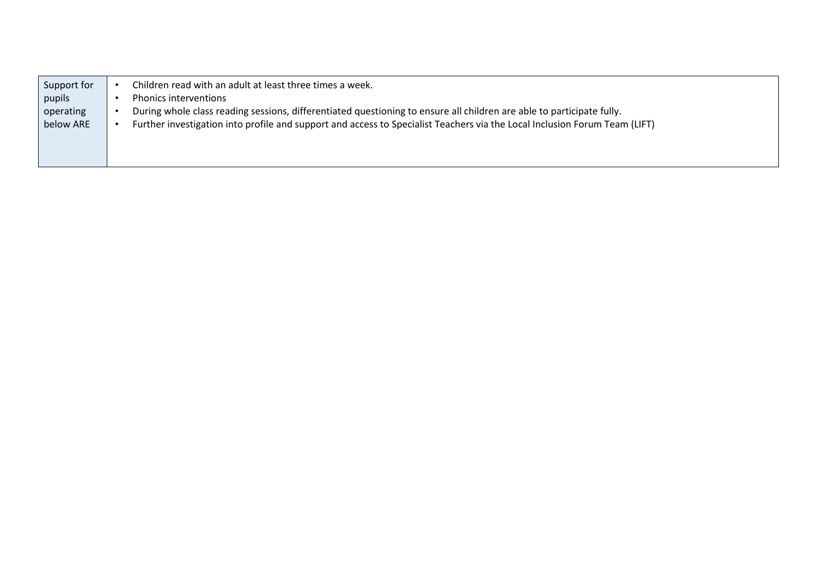| Support for | Children read with an adult at least three times a week.                                                                   |
|-------------|----------------------------------------------------------------------------------------------------------------------------|
| pupils      | <b>Phonics interventions</b>                                                                                               |
| operating   | During whole class reading sessions, differentiated questioning to ensure all children are able to participate fully.      |
| below ARE   | Further investigation into profile and support and access to Specialist Teachers via the Local Inclusion Forum Team (LIFT) |
|             |                                                                                                                            |
|             |                                                                                                                            |
|             |                                                                                                                            |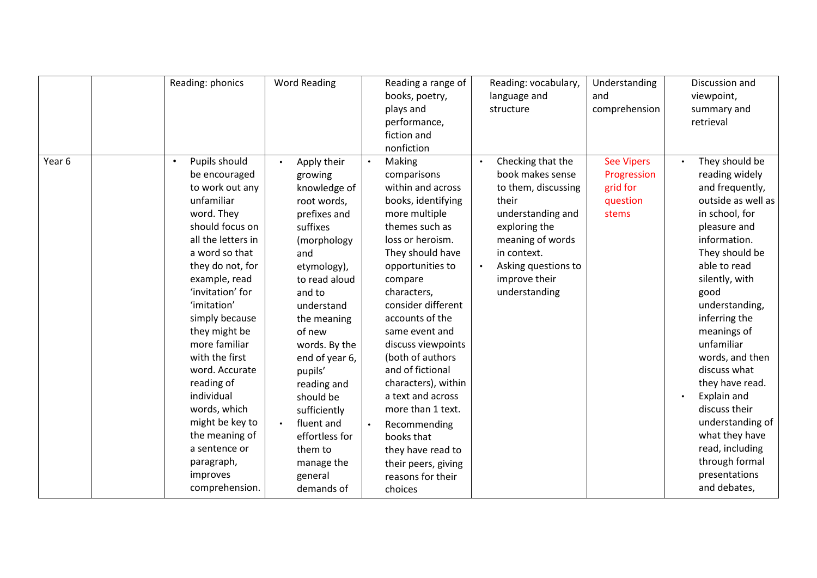|        | Reading: phonics                                                                                                                                                                                                                                                                                                                                                                                                                                                    | <b>Word Reading</b>                                                                                                                                                                                                                                                                                                                                                                            | Reading a range of<br>books, poetry,<br>plays and<br>performance,<br>fiction and<br>nonfiction                                                                                                                                                                                                                                                                                                                                                                                                | Reading: vocabulary,<br>language and<br>structure                                                                                                                                                                                 | Understanding<br>and<br>comprehension                             | Discussion and<br>viewpoint,<br>summary and<br>retrieval                                                                                                                                                                                                                                                                                                                                                                                                  |
|--------|---------------------------------------------------------------------------------------------------------------------------------------------------------------------------------------------------------------------------------------------------------------------------------------------------------------------------------------------------------------------------------------------------------------------------------------------------------------------|------------------------------------------------------------------------------------------------------------------------------------------------------------------------------------------------------------------------------------------------------------------------------------------------------------------------------------------------------------------------------------------------|-----------------------------------------------------------------------------------------------------------------------------------------------------------------------------------------------------------------------------------------------------------------------------------------------------------------------------------------------------------------------------------------------------------------------------------------------------------------------------------------------|-----------------------------------------------------------------------------------------------------------------------------------------------------------------------------------------------------------------------------------|-------------------------------------------------------------------|-----------------------------------------------------------------------------------------------------------------------------------------------------------------------------------------------------------------------------------------------------------------------------------------------------------------------------------------------------------------------------------------------------------------------------------------------------------|
| Year 6 | Pupils should<br>$\bullet$<br>be encouraged<br>to work out any<br>unfamiliar<br>word. They<br>should focus on<br>all the letters in<br>a word so that<br>they do not, for<br>example, read<br>'invitation' for<br>'imitation'<br>simply because<br>they might be<br>more familiar<br>with the first<br>word. Accurate<br>reading of<br>individual<br>words, which<br>might be key to<br>the meaning of<br>a sentence or<br>paragraph,<br>improves<br>comprehension. | Apply their<br>$\bullet$<br>growing<br>knowledge of<br>root words,<br>prefixes and<br>suffixes<br>(morphology<br>and<br>etymology),<br>to read aloud<br>and to<br>understand<br>the meaning<br>of new<br>words. By the<br>end of year 6,<br>pupils'<br>reading and<br>should be<br>sufficiently<br>fluent and<br>$\bullet$<br>effortless for<br>them to<br>manage the<br>general<br>demands of | Making<br>comparisons<br>within and across<br>books, identifying<br>more multiple<br>themes such as<br>loss or heroism.<br>They should have<br>opportunities to<br>compare<br>characters,<br>consider different<br>accounts of the<br>same event and<br>discuss viewpoints<br>(both of authors<br>and of fictional<br>characters), within<br>a text and across<br>more than 1 text.<br>Recommending<br>books that<br>they have read to<br>their peers, giving<br>reasons for their<br>choices | Checking that the<br>$\bullet$<br>book makes sense<br>to them, discussing<br>their<br>understanding and<br>exploring the<br>meaning of words<br>in context.<br>Asking questions to<br>$\bullet$<br>improve their<br>understanding | <b>See Vipers</b><br>Progression<br>grid for<br>question<br>stems | They should be<br>reading widely<br>and frequently,<br>outside as well as<br>in school, for<br>pleasure and<br>information.<br>They should be<br>able to read<br>silently, with<br>good<br>understanding,<br>inferring the<br>meanings of<br>unfamiliar<br>words, and then<br>discuss what<br>they have read.<br>Explain and<br>discuss their<br>understanding of<br>what they have<br>read, including<br>through formal<br>presentations<br>and debates, |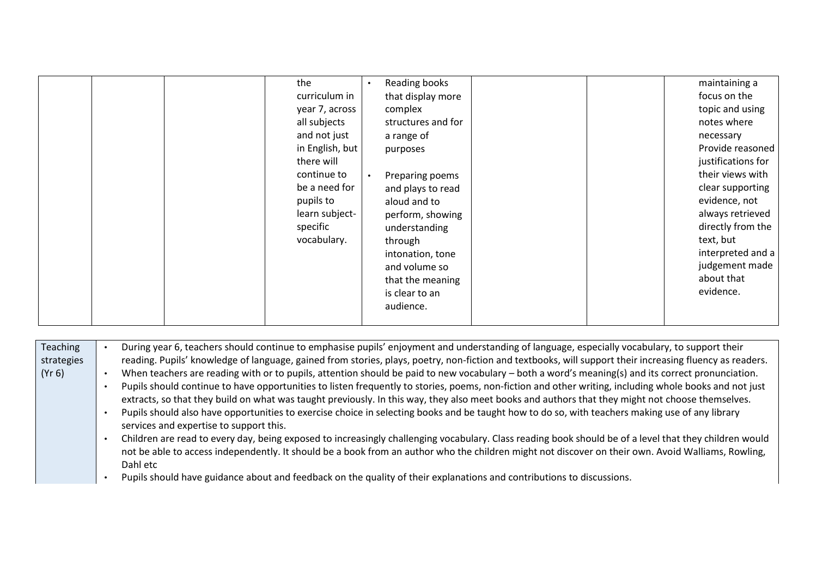| Teaching   | During year 6, teachers should continue to emphasise pupils' enjoyment and understanding of language, especially vocabulary, to support their            |
|------------|----------------------------------------------------------------------------------------------------------------------------------------------------------|
| strategies | reading. Pupils' knowledge of language, gained from stories, plays, poetry, non-fiction and textbooks, will support their increasing fluency as readers. |
| (Yr 6)     | When teachers are reading with or to pupils, attention should be paid to new vocabulary – both a word's meaning(s) and its correct pronunciation.        |
|            | Pupils should continue to have opportunities to listen frequently to stories, poems, non-fiction and other writing, including whole books and not just   |
|            | extracts, so that they build on what was taught previously. In this way, they also meet books and authors that they might not choose themselves.         |
|            | Pupils should also have opportunities to exercise choice in selecting books and be taught how to do so, with teachers making use of any library          |
|            | services and expertise to support this.                                                                                                                  |
|            | Children are read to every day, being exposed to increasingly challenging vocabulary. Class reading book should be of a level that they children would   |
|            | not be able to access independently. It should be a book from an author who the children might not discover on their own. Avoid Walliams, Rowling,       |
|            | Dahl etc                                                                                                                                                 |
|            | Pupils should have guidance about and feedback on the quality of their explanations and contributions to discussions.                                    |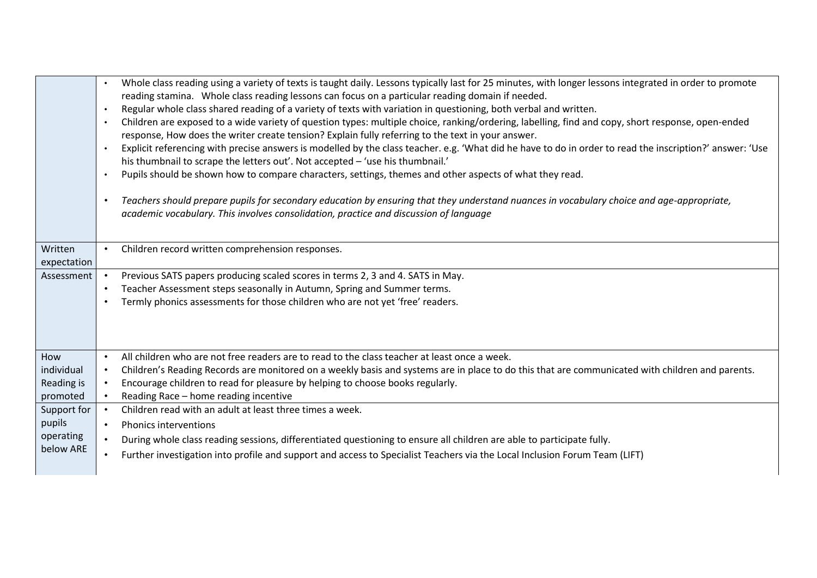|             | Whole class reading using a variety of texts is taught daily. Lessons typically last for 25 minutes, with longer lessons integrated in order to promote                                                                                                |
|-------------|--------------------------------------------------------------------------------------------------------------------------------------------------------------------------------------------------------------------------------------------------------|
|             | reading stamina. Whole class reading lessons can focus on a particular reading domain if needed.                                                                                                                                                       |
|             | Regular whole class shared reading of a variety of texts with variation in questioning, both verbal and written.<br>$\bullet$                                                                                                                          |
|             | Children are exposed to a wide variety of question types: multiple choice, ranking/ordering, labelling, find and copy, short response, open-ended                                                                                                      |
|             | response, How does the writer create tension? Explain fully referring to the text in your answer.                                                                                                                                                      |
|             | Explicit referencing with precise answers is modelled by the class teacher. e.g. 'What did he have to do in order to read the inscription?' answer: 'Use<br>$\bullet$<br>his thumbnail to scrape the letters out'. Not accepted - 'use his thumbnail.' |
|             | Pupils should be shown how to compare characters, settings, themes and other aspects of what they read.<br>$\bullet$                                                                                                                                   |
|             |                                                                                                                                                                                                                                                        |
|             | Teachers should prepare pupils for secondary education by ensuring that they understand nuances in vocabulary choice and age-appropriate,<br>$\bullet$                                                                                                 |
|             | academic vocabulary. This involves consolidation, practice and discussion of language                                                                                                                                                                  |
|             |                                                                                                                                                                                                                                                        |
| Written     | Children record written comprehension responses.                                                                                                                                                                                                       |
| expectation |                                                                                                                                                                                                                                                        |
| Assessment  | Previous SATS papers producing scaled scores in terms 2, 3 and 4. SATS in May.                                                                                                                                                                         |
|             | Teacher Assessment steps seasonally in Autumn, Spring and Summer terms.<br>$\bullet$                                                                                                                                                                   |
|             | Termly phonics assessments for those children who are not yet 'free' readers.<br>$\bullet$                                                                                                                                                             |
|             |                                                                                                                                                                                                                                                        |
|             |                                                                                                                                                                                                                                                        |
|             |                                                                                                                                                                                                                                                        |
| How         | All children who are not free readers are to read to the class teacher at least once a week.<br>$\bullet$                                                                                                                                              |
| individual  | Children's Reading Records are monitored on a weekly basis and systems are in place to do this that are communicated with children and parents.<br>$\bullet$                                                                                           |
| Reading is  | Encourage children to read for pleasure by helping to choose books regularly.                                                                                                                                                                          |
| promoted    | Reading Race - home reading incentive                                                                                                                                                                                                                  |
| Support for | Children read with an adult at least three times a week.<br>$\bullet$                                                                                                                                                                                  |
| pupils      | <b>Phonics interventions</b><br>$\bullet$                                                                                                                                                                                                              |
| operating   | During whole class reading sessions, differentiated questioning to ensure all children are able to participate fully.<br>$\bullet$                                                                                                                     |
| below ARE   | Further investigation into profile and support and access to Specialist Teachers via the Local Inclusion Forum Team (LIFT)<br>$\bullet$                                                                                                                |
|             |                                                                                                                                                                                                                                                        |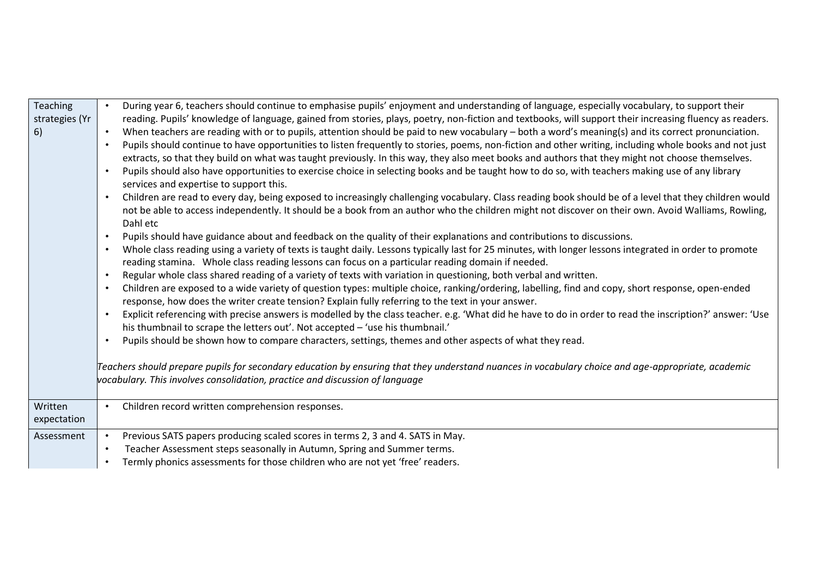| <b>Teaching</b><br>strategies (Yr<br>6) | During year 6, teachers should continue to emphasise pupils' enjoyment and understanding of language, especially vocabulary, to support their<br>reading. Pupils' knowledge of language, gained from stories, plays, poetry, non-fiction and textbooks, will support their increasing fluency as readers.<br>When teachers are reading with or to pupils, attention should be paid to new vocabulary - both a word's meaning(s) and its correct pronunciation.<br>$\bullet$<br>Pupils should continue to have opportunities to listen frequently to stories, poems, non-fiction and other writing, including whole books and not just<br>extracts, so that they build on what was taught previously. In this way, they also meet books and authors that they might not choose themselves.<br>Pupils should also have opportunities to exercise choice in selecting books and be taught how to do so, with teachers making use of any library<br>services and expertise to support this.<br>Children are read to every day, being exposed to increasingly challenging vocabulary. Class reading book should be of a level that they children would<br>not be able to access independently. It should be a book from an author who the children might not discover on their own. Avoid Walliams, Rowling,<br>Dahl etc<br>Pupils should have guidance about and feedback on the quality of their explanations and contributions to discussions.<br>$\bullet$<br>Whole class reading using a variety of texts is taught daily. Lessons typically last for 25 minutes, with longer lessons integrated in order to promote<br>reading stamina. Whole class reading lessons can focus on a particular reading domain if needed.<br>Regular whole class shared reading of a variety of texts with variation in questioning, both verbal and written.<br>$\bullet$<br>Children are exposed to a wide variety of question types: multiple choice, ranking/ordering, labelling, find and copy, short response, open-ended<br>response, how does the writer create tension? Explain fully referring to the text in your answer.<br>Explicit referencing with precise answers is modelled by the class teacher. e.g. 'What did he have to do in order to read the inscription?' answer: 'Use<br>his thumbnail to scrape the letters out'. Not accepted - 'use his thumbnail.'<br>Pupils should be shown how to compare characters, settings, themes and other aspects of what they read.<br>Teachers should prepare pupils for secondary education by ensuring that they understand nuances in vocabulary choice and age-appropriate, academic |
|-----------------------------------------|-----------------------------------------------------------------------------------------------------------------------------------------------------------------------------------------------------------------------------------------------------------------------------------------------------------------------------------------------------------------------------------------------------------------------------------------------------------------------------------------------------------------------------------------------------------------------------------------------------------------------------------------------------------------------------------------------------------------------------------------------------------------------------------------------------------------------------------------------------------------------------------------------------------------------------------------------------------------------------------------------------------------------------------------------------------------------------------------------------------------------------------------------------------------------------------------------------------------------------------------------------------------------------------------------------------------------------------------------------------------------------------------------------------------------------------------------------------------------------------------------------------------------------------------------------------------------------------------------------------------------------------------------------------------------------------------------------------------------------------------------------------------------------------------------------------------------------------------------------------------------------------------------------------------------------------------------------------------------------------------------------------------------------------------------------------------------------------------------------------------------------------------------------------------------------------------------------------------------------------------------------------------------------------------------------------------------------------------------------------------------------------------------------------------------------------------------------------------------------------------------------------------------------------------------------------------------------------------------------------------------------------|
|                                         | vocabulary. This involves consolidation, practice and discussion of language                                                                                                                                                                                                                                                                                                                                                                                                                                                                                                                                                                                                                                                                                                                                                                                                                                                                                                                                                                                                                                                                                                                                                                                                                                                                                                                                                                                                                                                                                                                                                                                                                                                                                                                                                                                                                                                                                                                                                                                                                                                                                                                                                                                                                                                                                                                                                                                                                                                                                                                                                      |
| Written<br>expectation                  | Children record written comprehension responses.                                                                                                                                                                                                                                                                                                                                                                                                                                                                                                                                                                                                                                                                                                                                                                                                                                                                                                                                                                                                                                                                                                                                                                                                                                                                                                                                                                                                                                                                                                                                                                                                                                                                                                                                                                                                                                                                                                                                                                                                                                                                                                                                                                                                                                                                                                                                                                                                                                                                                                                                                                                  |
| Assessment                              | Previous SATS papers producing scaled scores in terms 2, 3 and 4. SATS in May.<br>Teacher Assessment steps seasonally in Autumn, Spring and Summer terms.<br>Termly phonics assessments for those children who are not yet 'free' readers.                                                                                                                                                                                                                                                                                                                                                                                                                                                                                                                                                                                                                                                                                                                                                                                                                                                                                                                                                                                                                                                                                                                                                                                                                                                                                                                                                                                                                                                                                                                                                                                                                                                                                                                                                                                                                                                                                                                                                                                                                                                                                                                                                                                                                                                                                                                                                                                        |